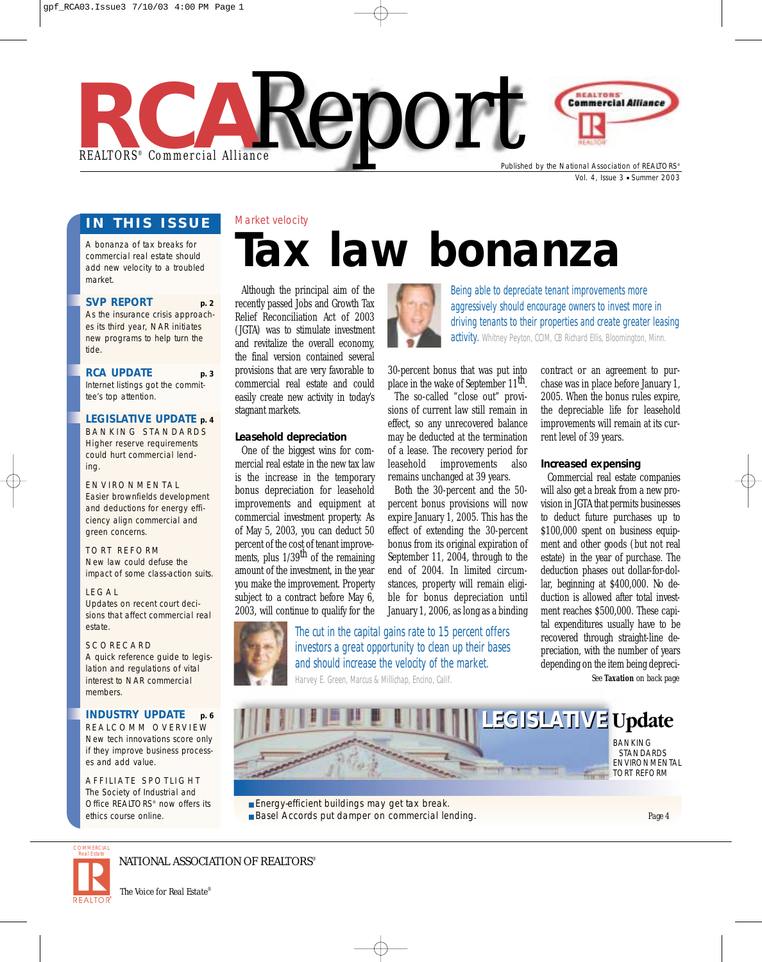

Vol. 4, Issue 3 ● Summer 2003

#### **IN THIS ISSUE**

Market velocity

A bonanza of tax breaks for commercial real estate should add new velocity to a troubled market.

#### **SVP REPORT p. 2**

As the insurance crisis approaches its third year, NAR initiates new programs to help turn the tide.

#### **RCA UPDATE p. 3**

Internet listings got the committee's top attention.

#### **LEGISLATIVE UPDATE p. 4**

BANKING STANDARDS Higher reserve requirements could hurt commercial lending.

ENVIRONMENTAL Easier brownfields development and deductions for energy efficiency align commercial and green concerns.

TORT REFORM New law could defuse the impact of some class-action suits.

#### LEGAL

Updates on recent court decisions that affect commercial real estate.

#### **SCORECARD**

A quick reference guide to legislation and regulations of vital interest to NAR commercial members.

#### **INDUSTRY UPDATE p. 6**

REALCOMM OVERVIEW New tech innovations score only if they improve business processes and add value.

AFFILIATE SPOTLIGHT The Society of Industrial and Office REALTORS® now offers its ethics course online.

# **Tax law bonanza**

Although the principal aim of the recently passed Jobs and Growth Tax Relief Reconciliation Act of 2003 (JGTA) was to stimulate investment and revitalize the overall economy, the final version contained several provisions that are very favorable to commercial real estate and could easily create new activity in today's stagnant markets.

#### **Leasehold depreciation**

One of the biggest wins for commercial real estate in the new tax law is the increase in the temporary bonus depreciation for leasehold improvements and equipment at commercial investment property. As of May 5, 2003, you can deduct 50 percent of the cost of tenant improvements, plus  $1/39$ <sup>th</sup> of the remaining amount of the investment, in the year you make the improvement. Property subject to a contract before May 6, 2003, will continue to qualify for the



Being able to depreciate tenant improvements more aggressively should encourage owners to invest more in driving tenants to their properties and create greater leasing activity. Whitney Peyton, CCIM, CB Richard Ellis, Bloomington, Minn.

30-percent bonus that was put into place in the wake of September 11<sup>th</sup>.

The so-called "close out" provisions of current law still remain in effect, so any unrecovered balance may be deducted at the termination of a lease. The recovery period for leasehold improvements also remains unchanged at 39 years.

Both the 30-percent and the 50 percent bonus provisions will now expire January 1, 2005. This has the effect of extending the 30-percent bonus from its original expiration of September 11, 2004, through to the end of 2004. In limited circumstances, property will remain eligible for bonus depreciation until January 1, 2006, as long as a binding



The cut in the capital gains rate to 15 percent offers investors a great opportunity to clean up their bases and should increase the velocity of the market. Harvey E. Green, Marcus & Millichap, Encino, Calif.

contract or an agreement to purchase was in place before January 1, 2005. When the bonus rules expire, the depreciable life for leasehold improvements will remain at its current level of 39 years.

#### **Increased expensing**

Commercial real estate companies will also get a break from a new provision in JGTA that permits businesses to deduct future purchases up to \$100,000 spent on business equipment and other goods (but not real estate) in the year of purchase. The deduction phases out dollar-for-dollar, beginning at \$400,000. No deduction is allowed after total investment reaches \$500,000. These capital expenditures usually have to be recovered through straight-line depreciation, with the number of years depending on the item being depreci-*See* **Taxation** *on back page*



■ Energy-efficient buildings may get tax break. ■ Basel Accords put damper on commercial lending. ENVIRONMENTAL

*Page 4*



#### NATIONAL ASSOCIATION OF REALTORS®

*The Voice for Real Estate*®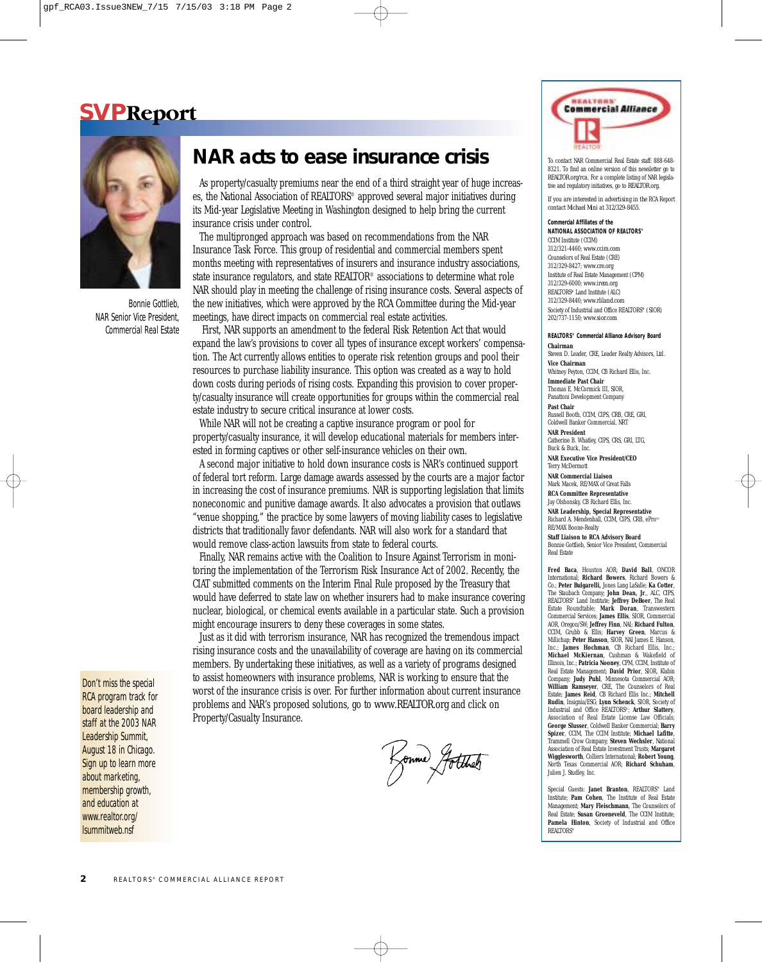## **SVPReport**



Bonnie Gottlieb, NAR Senior Vice President, Commercial Real Estate

#### Don't miss the special RCA program track for board leadership and staff at the 2003 NAR Leadership Summit, August 18 in Chicago. Sign up to learn more about marketing, membership growth, and education at *www.realtor.org/ lsummitweb.nsf*

## **NAR acts to ease insurance crisis**

As property/casualty premiums near the end of a third straight year of huge increases, the National Association of REALTORS® approved several major initiatives during its Mid-year Legislative Meeting in Washington designed to help bring the current insurance crisis under control.

The multipronged approach was based on recommendations from the NAR Insurance Task Force. This group of residential and commercial members spent months meeting with representatives of insurers and insurance industry associations, state insurance regulators, and state REALTOR® associations to determine what role NAR should play in meeting the challenge of rising insurance costs. Several aspects of the new initiatives, which were approved by the RCA Committee during the Mid-year meetings, have direct impacts on commercial real estate activities.

First, NAR supports an amendment to the federal Risk Retention Act that would expand the law's provisions to cover all types of insurance except workers' compensation. The Act currently allows entities to operate risk retention groups and pool their resources to purchase liability insurance. This option was created as a way to hold down costs during periods of rising costs. Expanding this provision to cover property/casualty insurance will create opportunities for groups within the commercial real estate industry to secure critical insurance at lower costs.

While NAR will not be creating a captive insurance program or pool for property/casualty insurance, it will develop educational materials for members interested in forming captives or other self-insurance vehicles on their own.

A second major initiative to hold down insurance costs is NAR's continued support of federal tort reform. Large damage awards assessed by the courts are a major factor in increasing the cost of insurance premiums. NAR is supporting legislation that limits noneconomic and punitive damage awards. It also advocates a provision that outlaws "venue shopping," the practice by some lawyers of moving liability cases to legislative districts that traditionally favor defendants. NAR will also work for a standard that would remove class-action lawsuits from state to federal courts.

Finally, NAR remains active with the Coalition to Insure Against Terrorism in monitoring the implementation of the Terrorism Risk Insurance Act of 2002. Recently, the CIAT submitted comments on the Interim Final Rule proposed by the Treasury that would have deferred to state law on whether insurers had to make insurance covering nuclear, biological, or chemical events available in a particular state. Such a provision might encourage insurers to deny these coverages in some states.

Just as it did with terrorism insurance, NAR has recognized the tremendous impact rising insurance costs and the unavailability of coverage are having on its commercial members. By undertaking these initiatives, as well as a variety of programs designed to assist homeowners with insurance problems, NAR is working to ensure that the worst of the insurance crisis is over. For further information about current insurance problems and NAR's proposed solutions, go to *www.REALTOR.org* and click on Property/Casualty Insurance.

Konme Jotther



To contact NAR Commercial Real Estate staff: 888-648- 8321. To find an online version of this newsletter go to *REALTOR.org/rca*. For a complete listing of NAR legislative and regulatory initiatives, go to *REALTOR.org.*

*If you are interested in advertising in the* RCA Report *contact Michael Mini at 312/329-8455.*

**Commercial Affiliates of the NATIONAL ASSOCIATION OF REALTORS®** CCIM Institute (CCIM) 312/321-4460; *www.ccim.com* Counselors of Real Estate (CRE) 312/329-8427; *www.cre.org* Institute of Real Estate Management (CPM) 312/329-6000; *www.irem.org* REALTORS**®** Land Institute (ALC) 312/329-8440; *www.rliland.com* Society of Industrial and Office REALTORS**®** (SIOR) 202/737-1150; *www.sior.com*

**REALTORS® Commercial Alliance Advisory Board Chairm** 

Steven D. Leader, CRE, Leader Realty Advisors, Ltd. **Vice Chairman**

Whitney Peyton, CCIM, CB Richard Ellis, Inc. **Immediate Past Chair** Thomas E. McCormick III, SIOR,

Panattoni Development Company **Past Chair**

Russell Booth, CCIM, CIPS, CRB, CRE, GRI, Coldwell Banker Commercial, NRT

**NAR President** Catherine B. Whatley, CIPS, CRS, GRI, LTG, Buck & Buck, Inc.

**NAR Executive Vice President/CEO** Terry McDermott

**NAR Commercial Liaison** Mark Macek, RE/MAX of Great Falls

**RCA Committee Representative** Jay Olshonsky, CB Richard Ellis, Inc.

**NAR Leadership, Special Representative**<br>Richard A. Mendenhall, CCIM, CIPS, CRB, ePro™ RE/MAX Boone-Realty

**Staff Liaison to RCA Advisory Board** Bonnie Gottlieb, Senior Vice President, Commercial Real Estate

**Fred Baca**, Houston AOR; **David Ball**, ONCOR International; **Richard Bowers**, Richard Bowers & Co.; **Peter Bulgarelli,** Jones Lang LaSalle; **Ka Cotter**, The Staubach Company; **John Dean, Jr**., ALC, CIPS, REALTORS® Land Institute; **Jeffrey DeBoer**, The Real Estate Roundtable; **Mark Doran**, Transwestern Commercial Services; **James Ellis**, SIOR, Commercial AOR, Oregon/SW; **Jeffrey Finn**, NAI; **Richard Fulton**, CCIM, Grubb & Ellis; **Harvey Green**, Marcus & Millichap; **Peter Hanson**, SIOR, NAI James E. Hanson, Inc.; **James Hochman**, CB Richard Ellis, Inc.; **Michael McKiernan**, Cushman & Wakefield of Illinois, Inc.; **Patricia Nooney**, CPM, CCIM, Institute of Real Estate Management; **David Prior**, SIOR, Klabin Company; **Judy Puhl**, Minnesota Commercial AOR; **William Ramseyer, CRE, The Counselors** Estate; **James Reid**, CB Richard Ellis Inc.; **Mitchell Rudin**, Insignia/ESG; **Lynn Schenck**, SIOR, Society of Industrial and Office REALTORS®; **Arthur Slattery**, Association of Real Estate License Law Officials: **George Slusser**, Coldwell Banker Commercial; **Barry** Spizer, CCIM, The CCIM Institute; Michael Lafitt Trammell Crow Company; **Steven Wechsler**, National Association of Real Estate Investment Trusts; **Margaret Wigglesworth**, Colliers International; **Robert Young**, North Texas Commercial AOR: Richard Schuha Julien J. Studley, Inc.

Special Guests: **Janet Branton**, REALTORS® Land Institute; **Pam Cohen**, The Institute of Real Estate Management; **Mary Fleischmann**, The Counselors of Real Estate; **Susan Groeneveld**, The CCIM Institute; **Pamela Hinton**, Society of Industrial and Office REALTORS®

2 REALTORS<sup>®</sup> COMMERCIAL ALLIANCE REPORT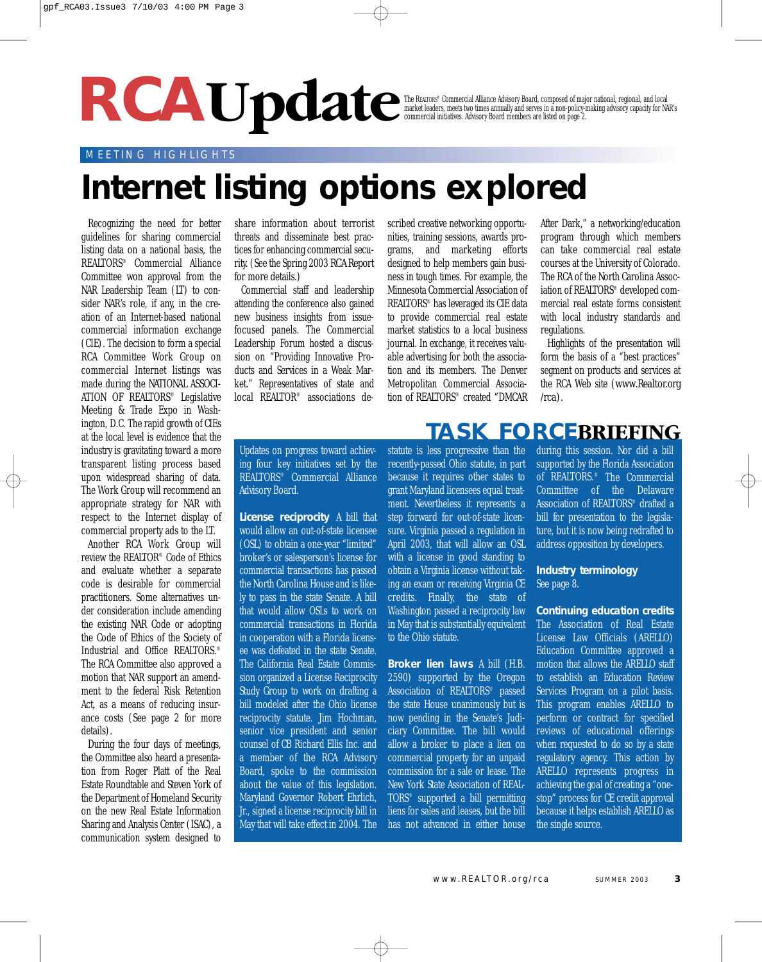# **RCAUpdate**

The REALTORS® Commercial Alliance Advisory Board, composed of major national, regional, and local market leaders, meets two times annually and serves in a non-policy-making advisory capacity for NAR's commercial initiatives. Advisory Board members are listed on page 2.

#### MEETING HIGHLIGHTS

# **Internet listing options explored**

Recognizing the need for better guidelines for sharing commercial listing data on a national basis, the REALTORS® Commercial Alliance Committee won approval from the NAR Leadership Team (LT) to consider NAR's role, if any, in the creation of an Internet-based national commercial information exchange (CIE). The decision to form a special RCA Committee Work Group on commercial Internet listings was made during the NATIONAL ASSOCI-ATION OF REALTORS® Legislative Meeting & Trade Expo in Washington, D.C. The rapid growth of CIEs at the local level is evidence that the industry is gravitating toward a more transparent listing process based upon widespread sharing of data. The Work Group will recommend an appropriate strategy for NAR with respect to the Internet display of commercial property ads to the LT.

Another RCA Work Group will review the REALTOR® Code of Ethics and evaluate whether a separate code is desirable for commercial practitioners. Some alternatives under consideration include amending the existing NAR Code or adopting the Code of Ethics of the Society of Industrial and Office REALTORS.® The RCA Committee also approved a motion that NAR support an amendment to the federal Risk Retention Act, as a means of reducing insurance costs (See page 2 for more details).

During the four days of meetings, the Committee also heard a presentation from Roger Platt of the Real Estate Roundtable and Steven York of the Department of Homeland Security on the new Real Estate Information Sharing and Analysis Center (ISAC), a communication system designed to

share information about terrorist threats and disseminate best practices for enhancing commercial security. (See the Spring 2003 *RCA Report* for more details.)

Commercial staff and leadership attending the conference also gained new business insights from issuefocused panels. The Commercial Leadership Forum hosted a discussion on "Providing Innovative Products and Services in a Weak Market." Representatives of state and local REALTOR® associations de-

scribed creative networking opportunities, training sessions, awards programs, and marketing efforts designed to help members gain business in tough times. For example, the Minnesota Commercial Association of REALTORS® has leveraged its CIE data to provide commercial real estate market statistics to a local business journal. In exchange, it receives valuable advertising for both the association and its members. The Denver Metropolitan Commercial Association of REALTORS® created "DMCAR

After Dark," a networking/education program through which members can take commercial real estate courses at the University of Colorado. The RCA of the North Carolina Association of REALTORS® developed commercial real estate forms consistent with local industry standards and regulations.

Highlights of the presentation will form the basis of a "best practices" segment on products and services at the RCA Web site *(www.Realtor.org /rca).* 

#### Updates on progress toward achieving four key initiatives set by the REALTORS® Commercial Alliance Advisory Board.

**License reciprocity** A bill that would allow an out-of-state licensee (OSL) to obtain a one-year "limited" broker's or salesperson's license for commercial transactions has passed the North Carolina House and is likely to pass in the state Senate. A bill that would allow OSLs to work on commercial transactions in Florida in cooperation with a Florida licensee was defeated in the state Senate. The California Real Estate Commission organized a License Reciprocity Study Group to work on drafting a bill modeled after the Ohio license reciprocity statute. Jim Hochman, senior vice president and senior counsel of CB Richard Ellis Inc. and a member of the RCA Advisory Board, spoke to the commission about the value of this legislation. Maryland Governor Robert Ehrlich, Jr., signed a license reciprocity bill in May that will take effect in 2004. The

statute is less progressive than the recently-passed Ohio statute, in part because it requires other states to grant Maryland licensees equal treatment. Nevertheless it represents a step forward for out-of-state licensure. Virginia passed a regulation in April 2003, that will allow an OSL with a license in good standing to obtain a Virginia license without taking an exam or receiving Virginia CE credits. Finally, the state of Washington passed a reciprocity law in May that is substantially equivalent to the Ohio statute.

**Broker lien laws** A bill (H.B. 2590) supported by the Oregon Association of REALTORS® passed the state House unanimously but is now pending in the Senate's Judiciary Committee. The bill would allow a broker to place a lien on commercial property for an unpaid commission for a sale or lease. The New York State Association of REAL-TORS® supported a bill permitting liens for sales and leases, but the bill has not advanced in either house

## **TASK FORCEBRIEFING**

during this session. Nor did a bill supported by the Florida Association of REALTORS.® The Commercial Committee of the Delaware Association of REALTORS® drafted a bill for presentation to the legislature, but it is now being redrafted to address opposition by developers.

**Industry terminology**  See page 8.

**Continuing education credits** The Association of Real Estate License Law Officials (ARELLO) Education Committee approved a motion that allows the ARELLO staff to establish an Education Review Services Program on a pilot basis. This program enables ARELLO to perform or contract for specified reviews of educational offerings when requested to do so by a state regulatory agency. This action by ARELLO represents progress in achieving the goal of creating a "onestop" process for CE credit approval because it helps establish ARELLO as the single source.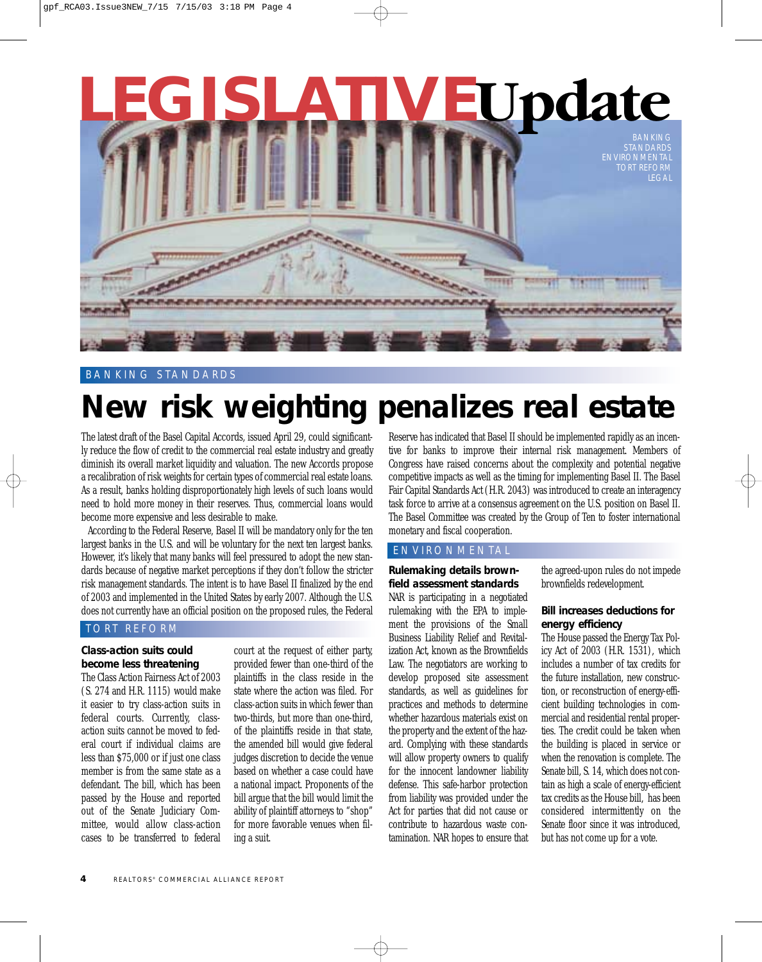# **LEGISLATIVE Update**

STANDARDS ENVIRONMENTAL TORT REFORM LEGAL

#### BANKING STANDARDS

# **New risk weighting penalizes real estate**

The latest draft of the Basel Capital Accords, issued April 29, could significantly reduce the flow of credit to the commercial real estate industry and greatly diminish its overall market liquidity and valuation. The new Accords propose a recalibration of risk weights for certain types of commercial real estate loans. As a result, banks holding disproportionately high levels of such loans would need to hold more money in their reserves. Thus, commercial loans would become more expensive and less desirable to make.

According to the Federal Reserve, Basel II will be mandatory only for the ten largest banks in the U.S. and will be voluntary for the next ten largest banks. However, it's likely that many banks will feel pressured to adopt the new standards because of negative market perceptions if they don't follow the stricter risk management standards. The intent is to have Basel II finalized by the end of 2003 and implemented in the United States by early 2007. Although the U.S. does not currently have an official position on the proposed rules, the Federal

#### TORT REFORM

#### **Class-action suits could become less threatening**

The Class Action Fairness Act of 2003 (S. 274 and H.R. 1115) would make it easier to try class-action suits in federal courts. Currently, classaction suits cannot be moved to federal court if individual claims are less than \$75,000 or if just one class member is from the same state as a defendant. The bill, which has been passed by the House and reported out of the Senate Judiciary Committee, would allow class-action cases to be transferred to federal

court at the request of either party, provided fewer than one-third of the plaintiffs in the class reside in the state where the action was filed. For class-action suits in which fewer than two-thirds, but more than one-third, of the plaintiffs reside in that state, the amended bill would give federal judges discretion to decide the venue based on whether a case could have a national impact. Proponents of the bill argue that the bill would limit the ability of plaintiff attorneys to "shop" for more favorable venues when filing a suit.

Reserve has indicated that Basel II should be implemented rapidly as an incentive for banks to improve their internal risk management. Members of Congress have raised concerns about the complexity and potential negative competitive impacts as well as the timing for implementing Basel II. The Basel Fair Capital Standards Act (H.R. 2043) was introduced to create an interagency task force to arrive at a consensus agreement on the U.S. position on Basel II. The Basel Committee was created by the Group of Ten to foster international monetary and fiscal cooperation.

#### ENVIRONMENTAL

**Rulemaking details brownfield assessment standards** NAR is participating in a negotiated rulemaking with the EPA to implement the provisions of the Small Business Liability Relief and Revitalization Act, known as the Brownfields Law. The negotiators are working to develop proposed site assessment standards, as well as guidelines for practices and methods to determine whether hazardous materials exist on the property and the extent of the hazard. Complying with these standards will allow property owners to qualify for the innocent landowner liability defense. This safe-harbor protection from liability was provided under the Act for parties that did not cause or contribute to hazardous waste contamination. NAR hopes to ensure that

the agreed-upon rules do not impede brownfields redevelopment.

#### **Bill increases deductions for energy efficiency**

The House passed the Energy Tax Policy Act of 2003 (H.R. 1531), which includes a number of tax credits for the future installation, new construction, or reconstruction of energy-efficient building technologies in commercial and residential rental properties. The credit could be taken when the building is placed in service or when the renovation is complete. The Senate bill, S. 14, which does not contain as high a scale of energy-efficient tax credits as the House bill, has been considered intermittently on the Senate floor since it was introduced, but has not come up for a vote.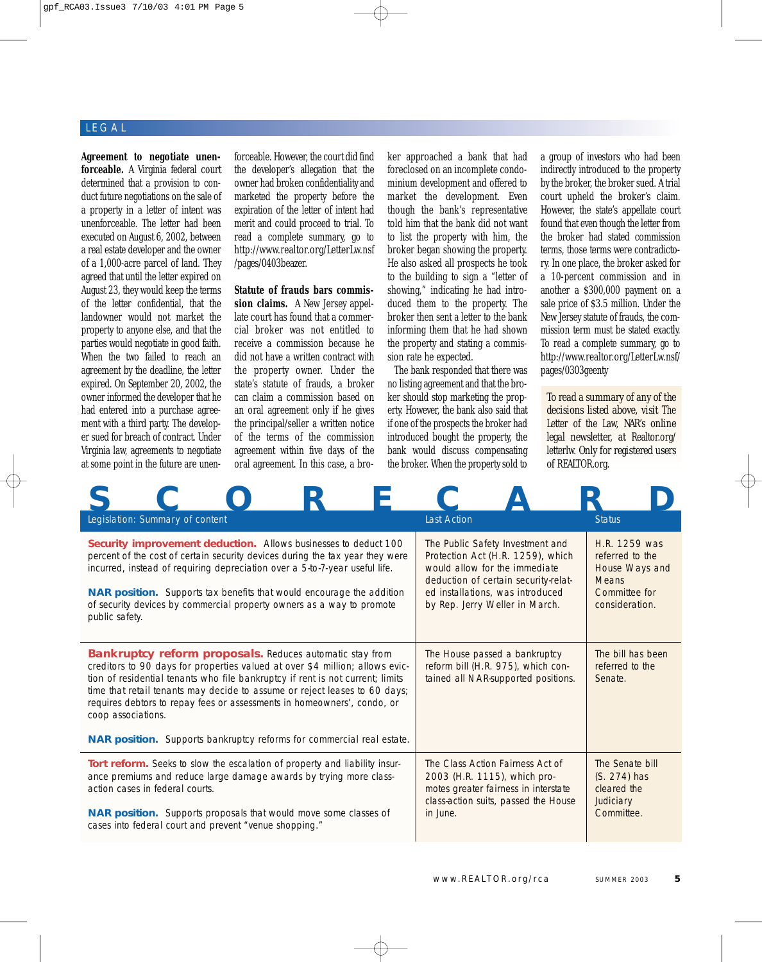#### LEGAL

**Agreement to negotiate unenforceable.** A Virginia federal court determined that a provision to conduct future negotiations on the sale of a property in a letter of intent was unenforceable. The letter had been executed on August 6, 2002, between a real estate developer and the owner of a 1,000-acre parcel of land. They agreed that until the letter expired on August 23, they would keep the terms of the letter confidential, that the landowner would not market the property to anyone else, and that the parties would negotiate in good faith. When the two failed to reach an agreement by the deadline, the letter expired. On September 20, 2002, the owner informed the developer that he had entered into a purchase agreement with a third party. The developer sued for breach of contract. Under Virginia law, agreements to negotiate at some point in the future are unen-

forceable. However, the court did find the developer's allegation that the owner had broken confidentiality and marketed the property before the expiration of the letter of intent had merit and could proceed to trial. To read a complete summary, go to http://www.realtor.org/LetterLw.nsf /pages/0403beazer.

**Statute of frauds bars commission claims.** A New Jersey appellate court has found that a commercial broker was not entitled to receive a commission because he did not have a written contract with the property owner. Under the state's statute of frauds, a broker can claim a commission based on an oral agreement only if he gives the principal/seller a written notice of the terms of the commission agreement within five days of the oral agreement. In this case, a broker approached a bank that had foreclosed on an incomplete condominium development and offered to market the development. Even though the bank's representative told him that the bank did not want to list the property with him, the broker began showing the property. He also asked all prospects he took to the building to sign a "letter of showing," indicating he had introduced them to the property. The broker then sent a letter to the bank informing them that he had shown the property and stating a commission rate he expected.

The bank responded that there was no listing agreement and that the broker should stop marketing the property. However, the bank also said that if one of the prospects the broker had introduced bought the property, the bank would discuss compensating the broker. When the property sold to

a group of investors who had been indirectly introduced to the property by the broker, the broker sued. A trial court upheld the broker's claim. However, the state's appellate court found that even though the letter from the broker had stated commission terms, those terms were contradictory. In one place, the broker asked for a 10-percent commission and in another a \$300,000 payment on a sale price of \$3.5 million. Under the New Jersey statute of frauds, the commission term must be stated exactly. To read a complete summary, go to http://www.realtor.org/LetterLw.nsf/ pages/0303geenty

*To read a summary of any of the decisions listed above, visit* The Letter of the Law, *NAR's online legal newsletter, at* Realtor.org/ letterlw. *Only for registered users of* REALTOR.org.

| Legislation: Summary of content                                                                                                                                                                                                                                                                                                                                                                                                                                                                  | <b>Last Action</b>                                                                                                                                                                                                   | <b>Status</b>                                                                                         |
|--------------------------------------------------------------------------------------------------------------------------------------------------------------------------------------------------------------------------------------------------------------------------------------------------------------------------------------------------------------------------------------------------------------------------------------------------------------------------------------------------|----------------------------------------------------------------------------------------------------------------------------------------------------------------------------------------------------------------------|-------------------------------------------------------------------------------------------------------|
| Security improvement deduction. Allows businesses to deduct 100<br>percent of the cost of certain security devices during the tax year they were<br>incurred, instead of requiring depreciation over a 5-to-7-year useful life.<br><b>NAR position.</b> Supports tax benefits that would encourage the addition<br>of security devices by commercial property owners as a way to promote<br>public safety.                                                                                       | The Public Safety Investment and<br>Protection Act (H.R. 1259), which<br>would allow for the immediate<br>deduction of certain security-relat-<br>ed installations, was introduced<br>by Rep. Jerry Weller in March. | H.R. 1259 was<br>referred to the<br>House Ways and<br><b>Means</b><br>Committee for<br>consideration. |
| <b>Bankruptcy reform proposals.</b> Reduces automatic stay from<br>creditors to 90 days for properties valued at over \$4 million; allows evic-<br>tion of residential tenants who file bankruptcy if rent is not current; limits<br>time that retail tenants may decide to assume or reject leases to 60 days;<br>requires debtors to repay fees or assessments in homeowners', condo, or<br>coop associations.<br><b>NAR position.</b> Supports bankruptcy reforms for commercial real estate. | The House passed a bankruptcy<br>reform bill (H.R. 975), which con-<br>tained all NAR-supported positions.                                                                                                           | The bill has been<br>referred to the<br>Senate.                                                       |
| Tort reform. Seeks to slow the escalation of property and liability insur-<br>ance premiums and reduce large damage awards by trying more class-<br>action cases in federal courts.<br><b>NAR position.</b> Supports proposals that would move some classes of<br>cases into federal court and prevent "venue shopping."                                                                                                                                                                         | The Class Action Fairness Act of<br>2003 (H.R. 1115), which pro-<br>motes greater fairness in interstate<br>class-action suits, passed the House<br>in June.                                                         | The Senate bill<br>$(S. 274)$ has<br>cleared the<br>Judiciary<br>Committee.                           |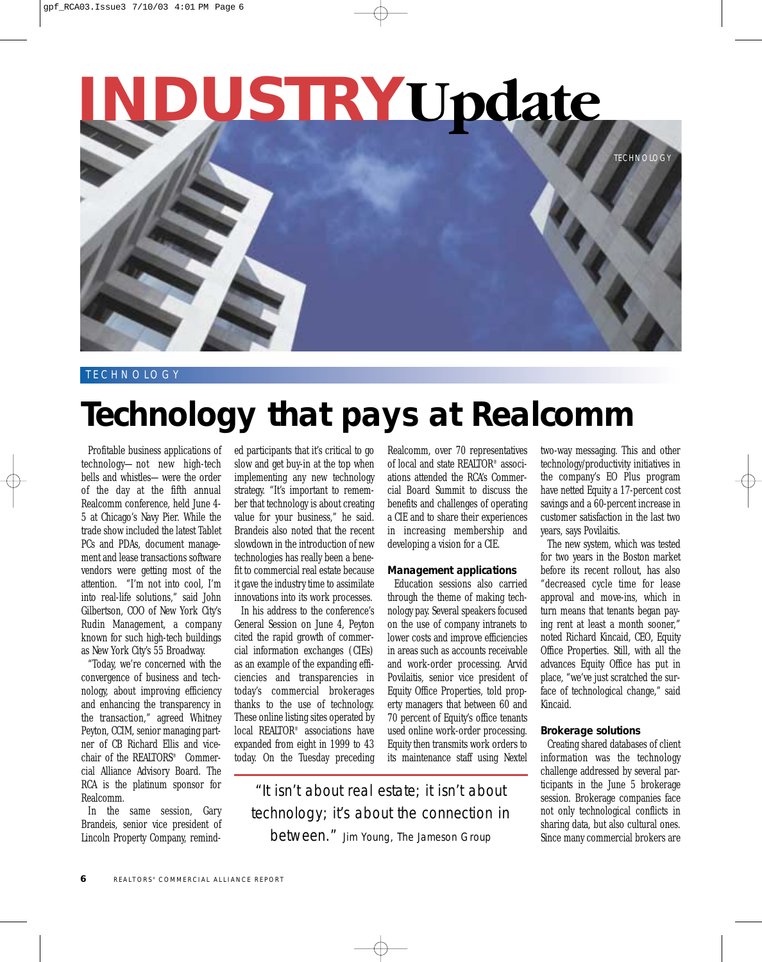

#### **TECHNOLOGY**

# **Technology that pays at Realcomm**

Profitable business applications of technology—not new high-tech bells and whistles—were the order of the day at the fifth annual Realcomm conference, held June 4- 5 at Chicago's Navy Pier. While the trade show included the latest Tablet PCs and PDAs, document management and lease transactions software vendors were getting most of the attention. "I'm not into cool, I'm into real-life solutions," said John Gilbertson, COO of New York City's Rudin Management, a company known for such high-tech buildings as New York City's 55 Broadway.

"Today, we're concerned with the convergence of business and technology, about improving efficiency and enhancing the transparency in the transaction," agreed Whitney Peyton, CCIM, senior managing partner of CB Richard Ellis and vicechair of the REALTORS® Commercial Alliance Advisory Board. The RCA is the platinum sponsor for Realcomm.

In the same session, Gary Brandeis, senior vice president of Lincoln Property Company, remind-

ed participants that it's critical to go slow and get buy-in at the top when implementing any new technology strategy. "It's important to remember that technology is about creating value for your business," he said. Brandeis also noted that the recent slowdown in the introduction of new technologies has really been a benefit to commercial real estate because it gave the industry time to assimilate innovations into its work processes.

In his address to the conference's General Session on June 4, Peyton cited the rapid growth of commercial information exchanges (CIEs) as an example of the expanding efficiencies and transparencies in today's commercial brokerages thanks to the use of technology. These online listing sites operated by local REALTOR® associations have expanded from eight in 1999 to 43 today. On the Tuesday preceding Realcomm, over 70 representatives of local and state REALTOR® associations attended the RCA's Commercial Board Summit to discuss the benefits and challenges of operating a CIE and to share their experiences in increasing membership and developing a vision for a CIE.

#### **Management applications**

Education sessions also carried through the theme of making technology pay. Several speakers focused on the use of company intranets to lower costs and improve efficiencies in areas such as accounts receivable and work-order processing. Arvid Povilaitis, senior vice president of Equity Office Properties, told property managers that between 60 and 70 percent of Equity's office tenants used online work-order processing. Equity then transmits work orders to its maintenance staff using Nextel

"It isn't about real estate; it isn't about technology; it's about the connection in between." Jim Young, The Jameson Group

two-way messaging. This and other technology/productivity initiatives in the company's EO Plus program have netted Equity a 17-percent cost savings and a 60-percent increase in customer satisfaction in the last two years, says Povilaitis.

The new system, which was tested for two years in the Boston market before its recent rollout, has also "decreased cycle time for lease approval and move-ins, which in turn means that tenants began paying rent at least a month sooner," noted Richard Kincaid, CEO, Equity Office Properties. Still, with all the advances Equity Office has put in place, "we've just scratched the surface of technological change," said Kincaid.

#### **Brokerage solutions**

Creating shared databases of client information was the technology challenge addressed by several participants in the June 5 brokerage session. Brokerage companies face not only technological conflicts in sharing data, but also cultural ones. Since many commercial brokers are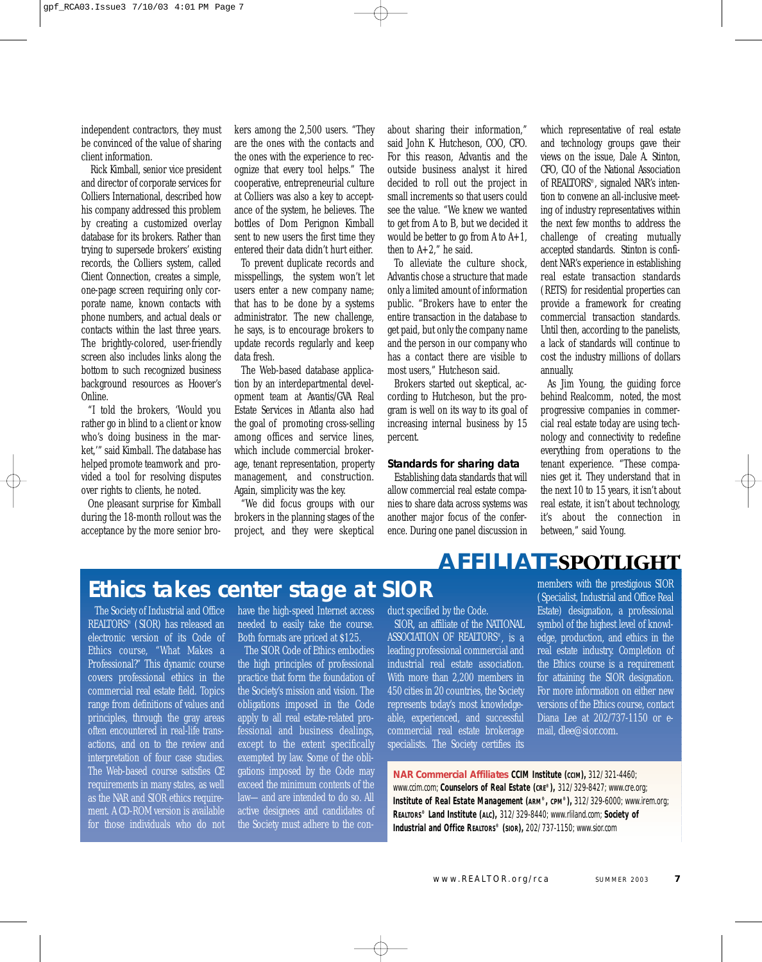independent contractors, they must be convinced of the value of sharing client information.

Rick Kimball, senior vice president and director of corporate services for Colliers International, described how his company addressed this problem by creating a customized overlay database for its brokers. Rather than trying to supersede brokers' existing records, the Colliers system, called Client Connection, creates a simple, one-page screen requiring only corporate name, known contacts with phone numbers, and actual deals or contacts within the last three years. The brightly-colored, user-friendly screen also includes links along the bottom to such recognized business background resources as Hoover's Online.

"I told the brokers, 'Would you rather go in blind to a client or know who's doing business in the market,'" said Kimball. The database has helped promote teamwork and provided a tool for resolving disputes over rights to clients, he noted.

One pleasant surprise for Kimball during the 18-month rollout was the acceptance by the more senior bro-

kers among the 2,500 users. "They are the ones with the contacts and the ones with the experience to recognize that every tool helps." The cooperative, entrepreneurial culture at Colliers was also a key to acceptance of the system, he believes. The bottles of Dom Perignon Kimball sent to new users the first time they entered their data didn't hurt either.

To prevent duplicate records and misspellings, the system won't let users enter a new company name; that has to be done by a systems administrator. The new challenge, he says, is to encourage brokers to update records regularly and keep data fresh.

The Web-based database application by an interdepartmental development team at Avantis/GVA Real Estate Services in Atlanta also had the goal of promoting cross-selling among offices and service lines, which include commercial brokerage, tenant representation, property management, and construction. Again, simplicity was the key.

"We did focus groups with our brokers in the planning stages of the project, and they were skeptical about sharing their information," said John K. Hutcheson, COO, CFO. For this reason, Advantis and the outside business analyst it hired decided to roll out the project in small increments so that users could see the value. "We knew we wanted to get from A to B, but we decided it would be better to go from A to  $A+1$ , then to  $A+2$ ," he said.

To alleviate the culture shock, Advantis chose a structure that made only a limited amount of information public. "Brokers have to enter the entire transaction in the database to get paid, but only the company name and the person in our company who has a contact there are visible to most users," Hutcheson said.

Brokers started out skeptical, according to Hutcheson, but the program is well on its way to its goal of increasing internal business by 15 percent.

#### **Standards for sharing data**

Establishing data standards that will allow commercial real estate companies to share data across systems was another major focus of the conference. During one panel discussion in which representative of real estate and technology groups gave their views on the issue, Dale A. Stinton, CFO, CIO of the National Association of REALTORS®, signaled NAR's intention to convene an all-inclusive meeting of industry representatives within the next few months to address the challenge of creating mutually accepted standards. Stinton is confident NAR's experience in establishing real estate transaction standards (RETS) for residential properties can provide a framework for creating commercial transaction standards. Until then, according to the panelists, a lack of standards will continue to cost the industry millions of dollars annually.

As Jim Young, the guiding force behind Realcomm, noted, the most progressive companies in commercial real estate today are using technology and connectivity to redefine everything from operations to the tenant experience. "These companies get it. They understand that in the next 10 to 15 years, it isn't about real estate, it isn't about technology, it's about the connection in between," said Young.

## **AFFILIATESPOTLIGHT**

# **Ethics takes center stage at SIOR**

The Society of Industrial and Office REALTORS® (SIOR) has released an electronic version of its Code of Ethics course, "What Makes a Professional?" This dynamic course covers professional ethics in the commercial real estate field. Topics range from definitions of values and principles, through the gray areas often encountered in real-life transactions, and on to the review and interpretation of four case studies. The Web-based course satisfies CE requirements in many states, as well as the NAR and SIOR ethics requirement. A CD-ROM version is available for those individuals who do not

have the high-speed Internet access needed to easily take the course. Both formats are priced at \$125.

The SIOR Code of Ethics embodies the high principles of professional practice that form the foundation of the Society's mission and vision. The obligations imposed in the Code apply to all real estate-related professional and business dealings, except to the extent specifically exempted by law. Some of the obligations imposed by the Code may exceed the minimum contents of the law—and are intended to do so. All active designees and candidates of the Society must adhere to the conduct specified by the Code.

SIOR, an affiliate of the NATIONAL ASSOCIATION OF REALTORS®, is a leading professional commercial and industrial real estate association. With more than 2,200 members in 450 cities in 20 countries, the Society represents today's most knowledgeable, experienced, and successful commercial real estate brokerage specialists. The Society certifies its

members with the prestigious SIOR (Specialist, Industrial and Office Real Estate) designation, a professional symbol of the highest level of knowledge, production, and ethics in the real estate industry. Completion of the Ethics course is a requirement for attaining the SIOR designation. For more information on either new versions of the Ethics course, contact Diana Lee at 202/737-1150 or email, *dlee@sior.com.*

**NAR Commercial Affiliates CCIM Institute (CCIM),** 312/321-4460; *www.ccim.com;* **Counselors of Real Estate (CRE®),** 312/329-8427; *www.cre.org;* **Institute of Real Estate Management (ARM®, CPM®),** 312/329-6000; *www.irem.org;* **REALTORS® Land Institute (ALC),** 312/329-8440; *www.rliland.com;* **Society of Industrial and Office REALTORS® (SIOR),** 202/737-1150; *www.sior.com*